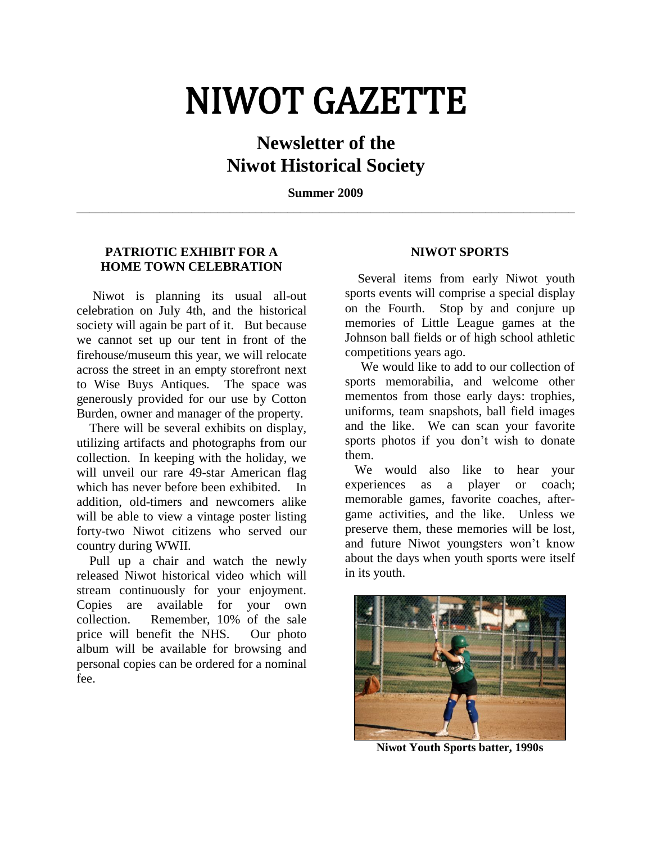# NIWOT GAZETTE

# **Newsletter of the Niwot Historical Society**

**Summer 2009** \_\_\_\_\_\_\_\_\_\_\_\_\_\_\_\_\_\_\_\_\_\_\_\_\_\_\_\_\_\_\_\_\_\_\_\_\_\_\_\_\_\_\_\_\_\_\_\_\_\_\_\_\_\_\_\_\_\_\_\_\_\_\_\_\_\_\_\_\_\_\_\_\_\_\_\_\_\_

# **PATRIOTIC EXHIBIT FOR A HOME TOWN CELEBRATION**

 Niwot is planning its usual all-out celebration on July 4th, and the historical society will again be part of it. But because we cannot set up our tent in front of the firehouse/museum this year, we will relocate across the street in an empty storefront next to Wise Buys Antiques. The space was generously provided for our use by Cotton Burden, owner and manager of the property.

 There will be several exhibits on display, utilizing artifacts and photographs from our collection. In keeping with the holiday, we will unveil our rare 49-star American flag which has never before been exhibited. In addition, old-timers and newcomers alike will be able to view a vintage poster listing forty-two Niwot citizens who served our country during WWII.

 Pull up a chair and watch the newly released Niwot historical video which will stream continuously for your enjoyment. Copies are available for your own collection. Remember, 10% of the sale price will benefit the NHS. Our photo album will be available for browsing and personal copies can be ordered for a nominal fee.

## **NIWOT SPORTS**

 Several items from early Niwot youth sports events will comprise a special display on the Fourth. Stop by and conjure up memories of Little League games at the Johnson ball fields or of high school athletic competitions years ago.

 We would like to add to our collection of sports memorabilia, and welcome other mementos from those early days: trophies, uniforms, team snapshots, ball field images and the like. We can scan your favorite sports photos if you don't wish to donate them.

 We would also like to hear your experiences as a player or coach; memorable games, favorite coaches, aftergame activities, and the like. Unless we preserve them, these memories will be lost, and future Niwot youngsters won't know about the days when youth sports were itself in its youth.



**Niwot Youth Sports batter, 1990s**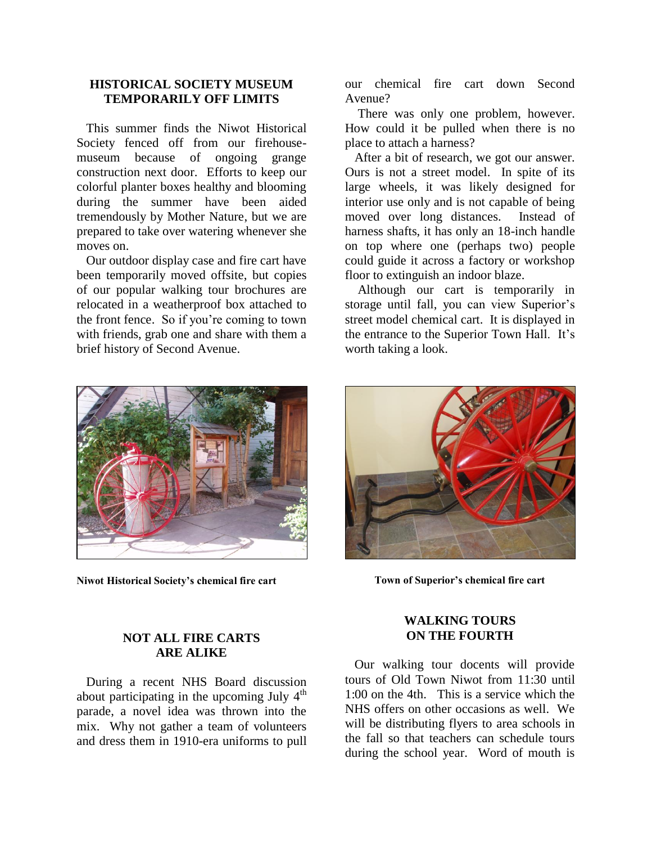### **HISTORICAL SOCIETY MUSEUM TEMPORARILY OFF LIMITS**

 This summer finds the Niwot Historical Society fenced off from our firehousemuseum because of ongoing grange construction next door. Efforts to keep our colorful planter boxes healthy and blooming during the summer have been aided tremendously by Mother Nature, but we are prepared to take over watering whenever she moves on.

 Our outdoor display case and fire cart have been temporarily moved offsite, but copies of our popular walking tour brochures are relocated in a weatherproof box attached to the front fence. So if you're coming to town with friends, grab one and share with them a brief history of Second Avenue.



**Niwot Historical Society's chemical fire cart**

### **NOT ALL FIRE CARTS ARE ALIKE**

 During a recent NHS Board discussion about participating in the upcoming July  $4<sup>th</sup>$ parade, a novel idea was thrown into the mix. Why not gather a team of volunteers and dress them in 1910-era uniforms to pull

our chemical fire cart down Second Avenue?

 There was only one problem, however. How could it be pulled when there is no place to attach a harness?

 After a bit of research, we got our answer. Ours is not a street model. In spite of its large wheels, it was likely designed for interior use only and is not capable of being moved over long distances. Instead of harness shafts, it has only an 18-inch handle on top where one (perhaps two) people could guide it across a factory or workshop floor to extinguish an indoor blaze.

 Although our cart is temporarily in storage until fall, you can view Superior's street model chemical cart. It is displayed in the entrance to the Superior Town Hall. It's worth taking a look.



**Town of Superior's chemical fire cart**

#### **WALKING TOURS ON THE FOURTH**

 Our walking tour docents will provide tours of Old Town Niwot from 11:30 until 1:00 on the 4th. This is a service which the NHS offers on other occasions as well. We will be distributing flyers to area schools in the fall so that teachers can schedule tours during the school year. Word of mouth is